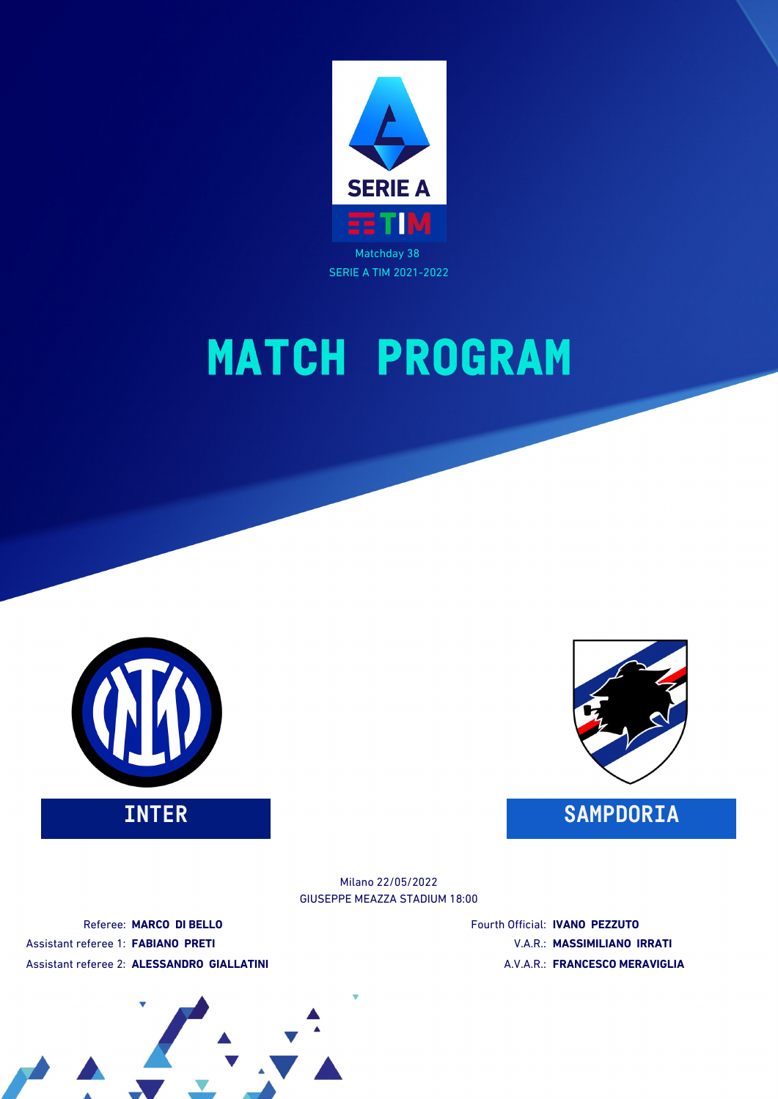





GIUSEPPE MEAZZA STADIUM 18:00 Milano 22/05/2022

Referee: **MARCO DI BELLO** Assistant referee 1: **FABIANO PRETI** Assistant referee 2: **ALESSANDRO GIALLATINI** Fourth Official: **IVANO PEZZUTO** V.A.R.: **MASSIMILIANO IRRATI** A.V.A.R.: **FRANCESCO MERAVIGLIA**

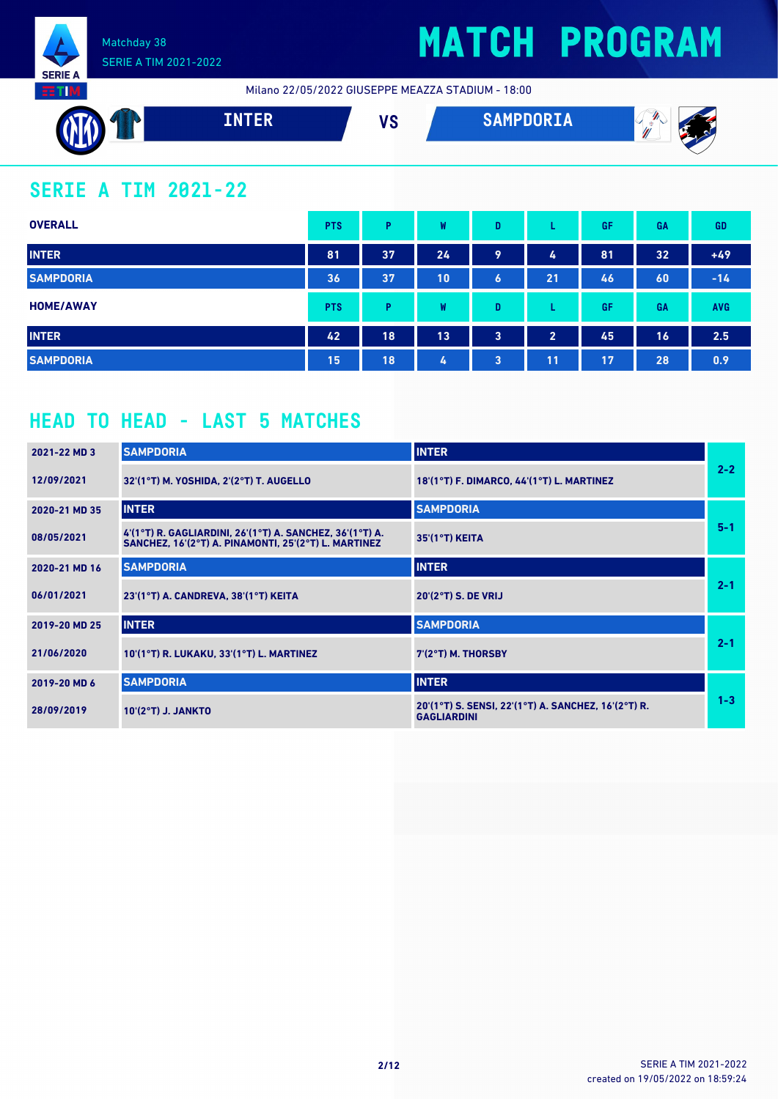

Milano 22/05/2022 GIUSEPPE MEAZZA STADIUM - 18:00



### **SERIE A TIM 2021-22**

| <b>OVERALL</b>   | <b>PTS</b> | Þ  | W  | D |                | GF | GA | <b>GD</b>  |
|------------------|------------|----|----|---|----------------|----|----|------------|
| <b>INTER</b>     | 81         | 37 | 24 | 9 | 4              | 81 | 32 | $+49$      |
| <b>SAMPDORIA</b> | 36         | 37 | 10 | 6 | 21             | 46 | 60 | $-14$      |
| <b>HOME/AWAY</b> | <b>PTS</b> | Þ  | W  | D |                | GF | GA | <b>AVG</b> |
| <b>INTER</b>     | 42         | 18 | 13 | 3 | $\overline{2}$ | 45 | 16 | 2.5        |
| <b>SAMPDORIA</b> | 15         | 18 | 4  | 3 | 11             | 17 | 28 | 0.9        |

### **HEAD TO HEAD - LAST 5 MATCHES**

| 2021-22 MD 3  | <b>SAMPDORIA</b>                                                                                                 | <b>INTER</b>                                                              |         |
|---------------|------------------------------------------------------------------------------------------------------------------|---------------------------------------------------------------------------|---------|
| 12/09/2021    | 32'(1°T) M. YOSHIDA, 2'(2°T) T. AUGELLO                                                                          | 18'(1°T) F. DIMARCO, 44'(1°T) L. MARTINEZ                                 | $2 - 2$ |
| 2020-21 MD 35 | <b>INTER</b>                                                                                                     | <b>SAMPDORIA</b>                                                          |         |
| 08/05/2021    | 4'(1°T) R. GAGLIARDINI, 26'(1°T) A. SANCHEZ, 36'(1°T) A.<br>SANCHEZ, 16'(2°T) A. PINAMONTI, 25'(2°T) L. MARTINEZ | 35'(1°T) KEITA                                                            | $5 - 1$ |
| 2020-21 MD 16 | <b>SAMPDORIA</b>                                                                                                 | <b>INTER</b>                                                              |         |
| 06/01/2021    | 23'(1°T) A. CANDREVA. 38'(1°T) KEITA                                                                             | 20'(2°T) S. DE VRIJ                                                       | $2 - 1$ |
| 2019-20 MD 25 | <b>INTER</b>                                                                                                     | <b>SAMPDORIA</b>                                                          |         |
| 21/06/2020    | 10'(1°T) R. LUKAKU, 33'(1°T) L. MARTINEZ                                                                         | $7'(2°T)$ M. THORSBY                                                      | $2 - 1$ |
| 2019-20 MD 6  | <b>SAMPDORIA</b>                                                                                                 | <b>INTER</b>                                                              |         |
| 28/09/2019    | 10'(2°T) J. JANKTO                                                                                               | 20'(1°T) S. SENSI, 22'(1°T) A. SANCHEZ, 16'(2°T) R.<br><b>GAGLIARDINI</b> | $1 - 3$ |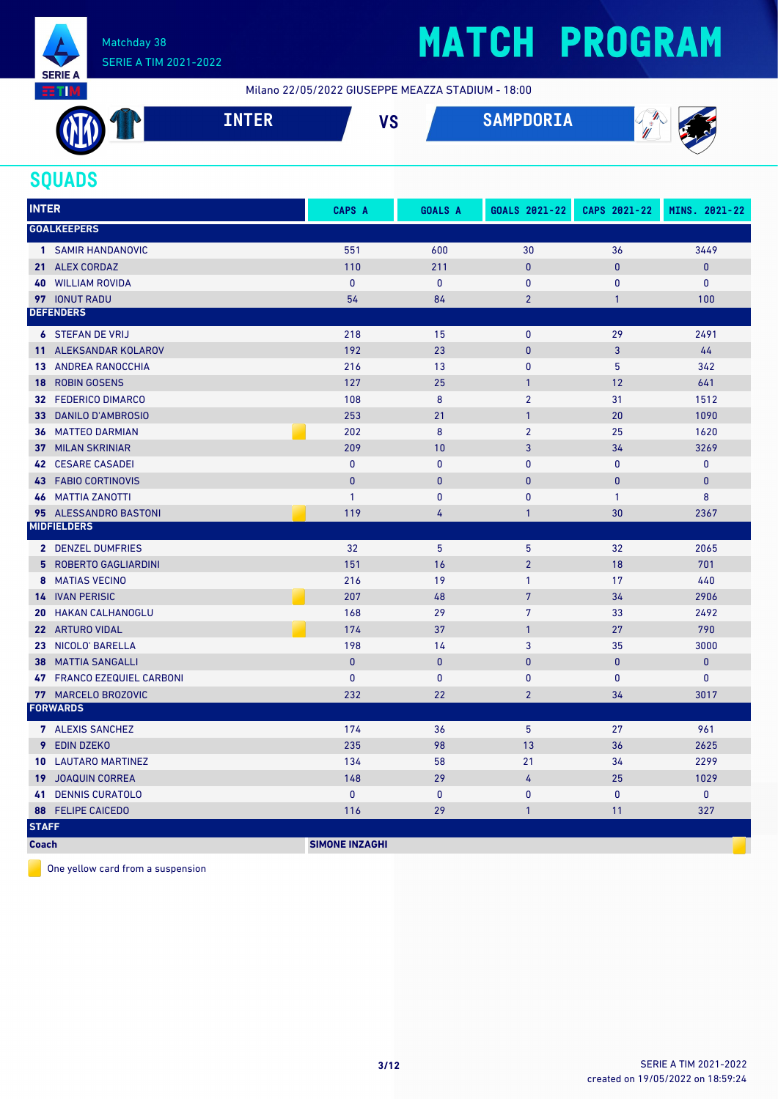

## **MATCH PROGRAM**

Milano 22/05/2022 GIUSEPPE MEAZZA STADIUM - 18:00

| <b>ALLAN</b><br>- | ------<br>Lр<br>TIATEIZ | $\mathbf{u}$<br>ט ו | <b>SAMPDORIA</b> | 74<br>$^{\prime\prime\prime}$<br>- - -<br>W |
|-------------------|-------------------------|---------------------|------------------|---------------------------------------------|
|                   |                         |                     |                  |                                             |

### **SQUADS**

| <b>INTER</b>    |                            | <b>CAPS A</b>         | <b>GOALS A</b> | GOALS 2021-22  | CAPS 2021-22 | MINS. 2021-22 |
|-----------------|----------------------------|-----------------------|----------------|----------------|--------------|---------------|
|                 | <b>GOALKEEPERS</b>         |                       |                |                |              |               |
|                 | 1 SAMIR HANDANOVIC         | 551                   | 600            | 30             | 36           | 3449          |
|                 | 21 ALEX CORDAZ             | 110                   | 211            | $\mathbf{0}$   | $\mathbf{0}$ | $\pmb{0}$     |
|                 | <b>40 WILLIAM ROVIDA</b>   | $\mathbf{0}$          | $\mathbf 0$    | $\mathbf{0}$   | $\mathbf{0}$ | $\mathbf 0$   |
|                 | 97 IONUT RADU              | 54                    | 84             | $\overline{2}$ | $\mathbf{1}$ | 100           |
|                 | <b>DEFENDERS</b>           |                       |                |                |              |               |
|                 | <b>6 STEFAN DE VRIJ</b>    | 218                   | 15             | $\pmb{0}$      | 29           | 2491          |
|                 | 11 ALEKSANDAR KOLAROV      | 192                   | 23             | $\mathbf{0}$   | 3            | 44            |
|                 | <b>13 ANDREA RANOCCHIA</b> | 216                   | 13             | $\mathbf{0}$   | 5            | 342           |
| 18              | <b>ROBIN GOSENS</b>        | 127                   | 25             | $\mathbf{1}$   | 12           | 641           |
|                 | 32 FEDERICO DIMARCO        | 108                   | 8              | $\overline{2}$ | 31           | 1512          |
| 33 <sup>7</sup> | <b>DANILO D'AMBROSIO</b>   | 253                   | 21             | $\mathbf{1}$   | 20           | 1090          |
|                 | <b>36 MATTEO DARMIAN</b>   | 202                   | 8              | $\overline{2}$ | 25           | 1620          |
|                 | <b>37 MILAN SKRINIAR</b>   | 209                   | 10             | 3              | 34           | 3269          |
|                 | <b>42 CESARE CASADEI</b>   | $\mathbf{0}$          | $\mathbf{0}$   | $\mathbf{0}$   | $\mathbf{0}$ | $\mathbf{0}$  |
|                 | <b>43 FABIO CORTINOVIS</b> | $\mathbf{0}$          | $\mathbf{0}$   | $\mathbf{0}$   | $\mathbf{0}$ | $\mathbf{0}$  |
|                 | <b>46 MATTIA ZANOTTI</b>   | $\mathbf{1}$          | $\mathbf{0}$   | $\mathbf{0}$   | $\mathbf{1}$ | 8             |
|                 | 95 ALESSANDRO BASTONI      | 119                   | 4              | $\mathbf{1}$   | 30           | 2367          |
|                 | <b>MIDFIELDERS</b>         |                       |                |                |              |               |
|                 | <b>2 DENZEL DUMFRIES</b>   | 32                    | 5              | 5              | 32           | 2065          |
|                 | 5 ROBERTO GAGLIARDINI      | 151                   | 16             | $\overline{2}$ | 18           | 701           |
|                 | 8 MATIAS VECINO            | 216                   | 19             | $\mathbf{1}$   | 17           | 440           |
|                 | <b>14 IVAN PERISIC</b>     | 207                   | 48             | $\overline{7}$ | 34           | 2906          |
|                 | <b>20 HAKAN CALHANOGLU</b> | 168                   | 29             | 7              | 33           | 2492          |
|                 | 22 ARTURO VIDAL            | 174                   | 37             | $\mathbf{1}$   | 27           | 790           |
|                 | 23 NICOLO' BARELLA         | 198                   | 14             | 3              | 35           | 3000          |
| 38              | <b>MATTIA SANGALLI</b>     | $\mathbf{0}$          | $\mathbf{0}$   | $\mathbf{0}$   | $\mathbf{0}$ | $\pmb{0}$     |
|                 | 47 FRANCO EZEQUIEL CARBONI | $\mathbf{0}$          | $\mathbf{0}$   | $\mathbf{0}$   | $\mathbf{0}$ | $\mathbf 0$   |
|                 | 77 MARCELO BROZOVIC        | 232                   | 22             | $\overline{2}$ | 34           | 3017          |
|                 | <b>FORWARDS</b>            |                       |                |                |              |               |
|                 | 7 ALEXIS SANCHEZ           | 174                   | 36             | 5              | 27           | 961           |
|                 | 9 EDIN DZEKO               | 235                   | 98             | 13             | 36           | 2625          |
|                 | <b>10 LAUTARO MARTINEZ</b> | 134                   | 58             | 21             | 34           | 2299          |
|                 | <b>19 JOAQUIN CORREA</b>   | 148                   | 29             | 4              | 25           | 1029          |
| 41              | <b>DENNIS CURATOLO</b>     | $\mathbf{0}$          | $\mathbf{0}$   | $\mathbf{0}$   | $\mathbf{0}$ | $\mathbf{0}$  |
|                 | <b>88 FELIPE CAICEDO</b>   | 116                   | 29             | $\mathbf{1}$   | 11           | 327           |
| <b>STAFF</b>    |                            |                       |                |                |              |               |
| <b>Coach</b>    |                            | <b>SIMONE INZAGHI</b> |                |                |              |               |

One yellow card from a suspension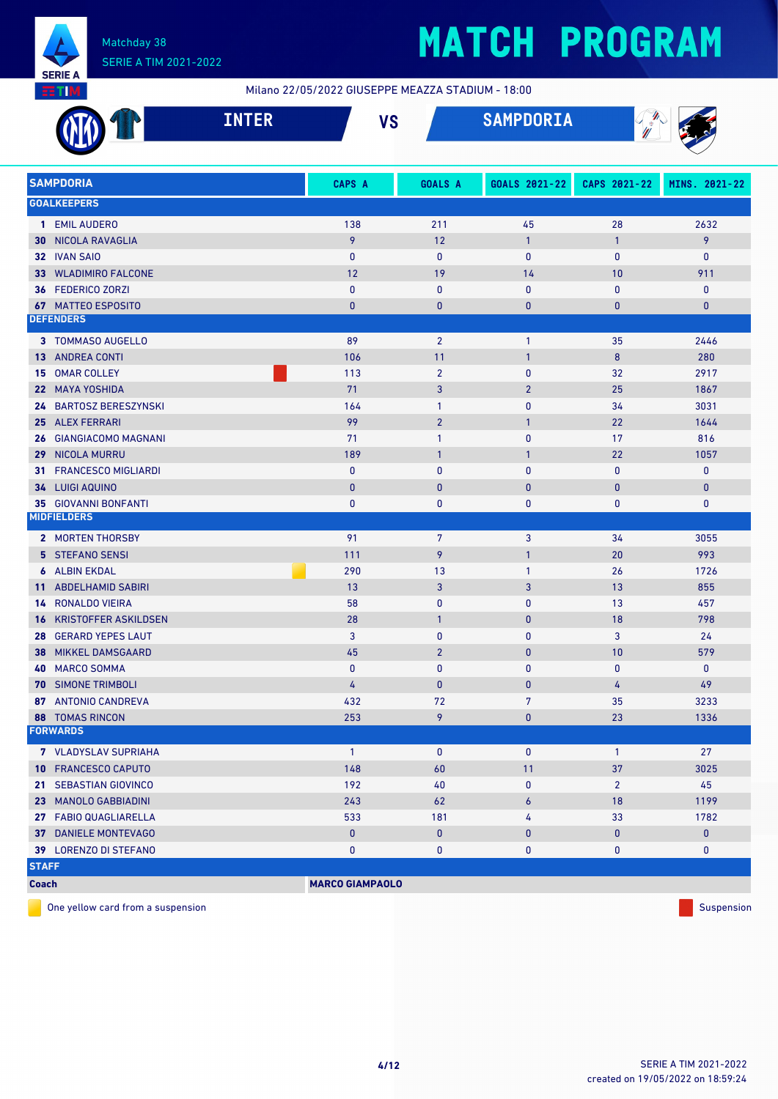

Milano 22/05/2022 GIUSEPPE MEAZZA STADIUM - 18:00

|              |                                | <b>INTER</b> |                        | <b>VS</b> |                | <b>SAMPDORIA</b> | W              |               |
|--------------|--------------------------------|--------------|------------------------|-----------|----------------|------------------|----------------|---------------|
|              | <b>SAMPDORIA</b>               |              | CAPS A                 |           | <b>GOALS A</b> | GOALS 2021-22    | CAPS 2021-22   | MINS. 2021-22 |
|              | <b>GOALKEEPERS</b>             |              |                        |           |                |                  |                |               |
|              | 1 EMIL AUDERO                  |              | 138                    |           | 211            | 45               | 28             | 2632          |
|              | <b>30 NICOLA RAVAGLIA</b>      |              | 9                      |           | 12             | $\mathbf{1}$     | $\mathbf{1}$   | 9             |
|              | 32 IVAN SAIO                   |              | $\mathbf{0}$           |           | $\bf{0}$       | $\mathbf{0}$     | $\mathbf{0}$   | 0             |
|              | 33 WLADIMIRO FALCONE           |              | 12                     |           | 19             | 14               | 10             | 911           |
|              | 36 FEDERICO ZORZI              |              | $\mathbf{0}$           |           | $\mathbf{0}$   | $\mathbf{0}$     | $\mathbf{0}$   | $\mathbf 0$   |
|              | <b>67 MATTEO ESPOSITO</b>      |              | $\mathbf{0}$           |           | $\bf{0}$       | $\mathbf{0}$     | 0              | $\mathbf{0}$  |
|              | <b>DEFENDERS</b>               |              |                        |           |                |                  |                |               |
|              | 3 TOMMASO AUGELLO              |              | 89                     |           | $\overline{2}$ | $\mathbf{1}$     | 35             | 2446          |
|              | <b>13 ANDREA CONTI</b>         |              | 106                    |           | 11             | $\mathbf{1}$     | 8              | 280           |
|              | 15 OMAR COLLEY                 |              | 113                    |           | $\overline{2}$ | $\mathbf{0}$     | 32             | 2917          |
|              | 22 MAYA YOSHIDA                |              | 71                     |           | 3              | $\overline{2}$   | 25             | 1867          |
|              | 24 BARTOSZ BERESZYNSKI         |              | 164                    |           | $\mathbf{1}$   | $\mathbf{0}$     | 34             | 3031          |
|              | 25 ALEX FERRARI                |              | 99                     |           | $\overline{2}$ | $\mathbf{1}$     | 22             | 1644          |
|              | 26 GIANGIACOMO MAGNANI         |              | 71                     |           | $\mathbf{1}$   | $\mathbf{0}$     | 17             | 816           |
| 29           | <b>NICOLA MURRU</b>            |              | 189                    |           | $\mathbf{1}$   | $\mathbf{1}$     | 22             | 1057          |
| 31           | <b>FRANCESCO MIGLIARDI</b>     |              | $\mathbf{0}$           |           | $\mathbf{0}$   | $\mathbf{0}$     | $\mathbf{0}$   | $\mathbf 0$   |
|              | 34 LUIGI AQUINO                |              | $\mathbf{0}$           |           | $\mathbf{0}$   | $\mathbf{0}$     | $\mathbf{0}$   | $\mathbf{0}$  |
|              | <b>35 GIOVANNI BONFANTI</b>    |              | $\bf{0}$               |           | 0              | 0                | 0              | 0             |
|              | <b>MIDFIELDERS</b>             |              |                        |           |                |                  |                |               |
|              | 2 MORTEN THORSBY               |              | 91                     |           | 7              | 3                | 34             | 3055          |
|              | <b>5 STEFANO SENSI</b>         |              | 111                    |           | 9              | $\mathbf{1}$     | 20             | 993           |
|              | <b>6</b> ALBIN EKDAL           |              | 290                    |           | 13             | $\mathbf{1}$     | 26             | 1726          |
|              | 11 ABDELHAMID SABIRI           |              | 13                     |           | 3              | 3                | 13             | 855           |
|              | <b>14 RONALDO VIEIRA</b>       |              | 58                     |           | $\mathbf{0}$   | $\mathbf{0}$     | 13             | 457           |
|              | <b>16 KRISTOFFER ASKILDSEN</b> |              | 28                     |           | $\mathbf{1}$   | $\mathbf{0}$     | 18             | 798           |
|              | 28 GERARD YEPES LAUT           |              | 3                      |           | $\mathbf{0}$   | $\mathbf{0}$     | 3              | 24            |
| 38           | <b>MIKKEL DAMSGAARD</b>        |              | 45                     |           | $\overline{2}$ | $\mathbf{0}$     | 10             | 579           |
|              | <b>40 MARCO SOMMA</b>          |              | 0                      |           | 0              | 0                | $\pmb{0}$      | $\mathbf 0$   |
|              | 70 SIMONE TRIMBOLI             |              | 4                      |           | $\bf{0}$       | $\bf{0}$         | 4              | 49            |
|              | 87 ANTONIO CANDREVA            |              | 432                    |           | 72             | $\overline{7}$   | 35             | 3233          |
|              | <b>88 TOMAS RINCON</b>         |              | 253                    |           | 9              | $\pmb{0}$        | 23             | 1336          |
|              | <b>FORWARDS</b>                |              |                        |           |                |                  |                |               |
|              | <b>7</b> VLADYSLAV SUPRIAHA    |              | $\mathbf{1}$           |           | $\pmb{0}$      | $\pmb{0}$        | $\mathbf{1}$   | 27            |
|              | 10 FRANCESCO CAPUTO            |              | 148                    |           | 60             | 11               | 37             | 3025          |
|              | 21 SEBASTIAN GIOVINCO          |              | 192                    |           | 40             | 0                | $\overline{2}$ | 45            |
|              | 23 MANOLO GABBIADINI           |              | 243                    |           | 62             | 6                | 18             | 1199          |
|              | 27 FABIO QUAGLIARELLA          |              | 533                    |           | 181            | 4                | 33             | 1782          |
|              | 37 DANIELE MONTEVAGO           |              | $\pmb{0}$              |           | $\pmb{0}$      | $\bf{0}$         | 0              | $\mathbf{0}$  |
|              | 39 LORENZO DI STEFANO          |              | 0                      |           | $\pmb{0}$      | 0                | 0              | $\mathbf 0$   |
| <b>STAFF</b> |                                |              |                        |           |                |                  |                |               |
| <b>Coach</b> |                                |              | <b>MARCO GIAMPAOLO</b> |           |                |                  |                |               |

One yellow card from a suspension  $\blacksquare$  Suspension Suspension Suspension Suspension Suspension Suspension Suspension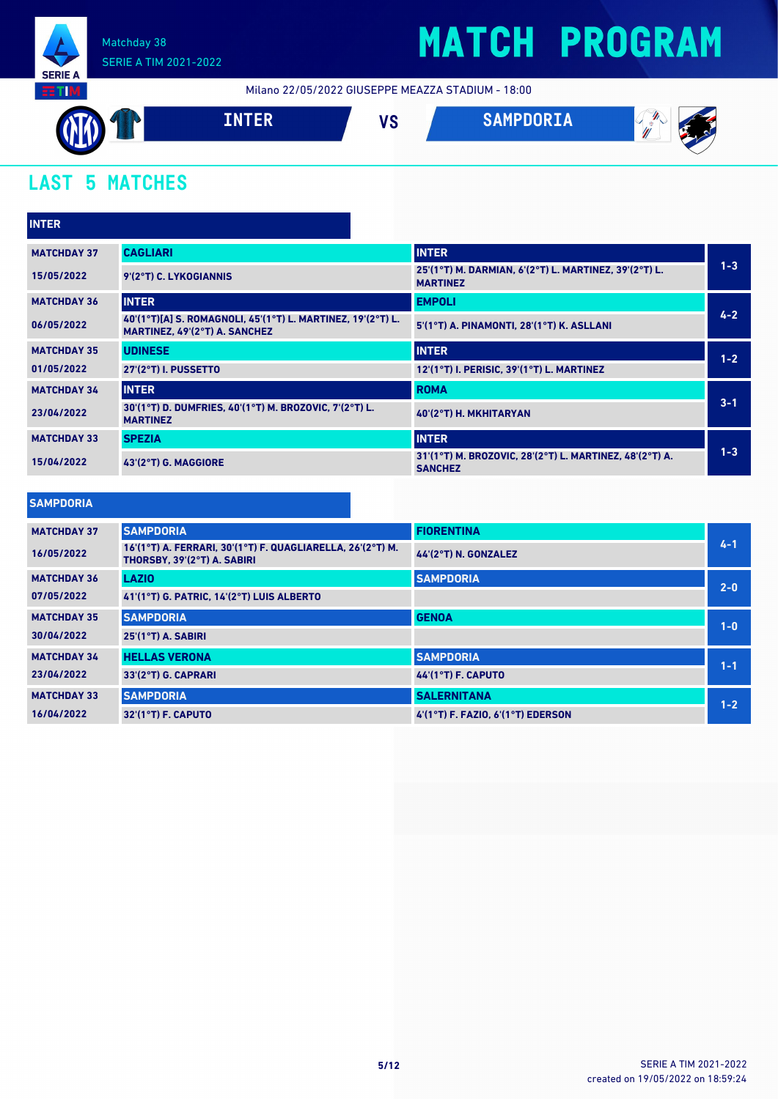

## **MATCH PROGRAM**

Milano 22/05/2022 GIUSEPPE MEAZZA STADIUM - 18:00



### **LAST 5 MATCHES**

| <b>INTER</b>       |                                                                                              |                                                                           |         |
|--------------------|----------------------------------------------------------------------------------------------|---------------------------------------------------------------------------|---------|
| <b>MATCHDAY 37</b> | <b>CAGLIARI</b>                                                                              | <b>INTER</b>                                                              |         |
| 15/05/2022         | 9'(2°T) C. LYKOGIANNIS                                                                       | 25'(1°T) M. DARMIAN, 6'(2°T) L. MARTINEZ, 39'(2°T) L.<br><b>MARTINEZ</b>  | $1 - 3$ |
| <b>MATCHDAY 36</b> | <b>INTER</b>                                                                                 | <b>EMPOLI</b>                                                             |         |
| 06/05/2022         | 40'(1°T)[A] S. ROMAGNOLI, 45'(1°T) L. MARTINEZ, 19'(2°T) L.<br>MARTINEZ, 49'(2°T) A. SANCHEZ | 5'(1°T) A. PINAMONTI, 28'(1°T) K. ASLLANI                                 | $4 - 2$ |
| <b>MATCHDAY 35</b> | <b>UDINESE</b>                                                                               | <b>INTER</b>                                                              | $1 - 2$ |
| 01/05/2022         | 27'(2°T) I. PUSSETTO                                                                         | 12'(1°T) I. PERISIC, 39'(1°T) L. MARTINEZ                                 |         |
| <b>MATCHDAY 34</b> | <b>INTER</b>                                                                                 | <b>ROMA</b>                                                               |         |
| 23/04/2022         | 30'(1°T) D. DUMFRIES, 40'(1°T) M. BROZOVIC, 7'(2°T) L.<br><b>MARTINEZ</b>                    | 40'(2°T) H. MKHITARYAN                                                    | $3 - 1$ |
| <b>MATCHDAY 33</b> | <b>SPEZIA</b>                                                                                | <b>INTER</b>                                                              |         |
| 15/04/2022         | 43'(2°T) G. MAGGIORE                                                                         | 31'(1°T) M. BROZOVIC, 28'(2°T) L. MARTINEZ, 48'(2°T) A.<br><b>SANCHEZ</b> | $1 - 3$ |

#### **SAMPDORIA**

| <b>MATCHDAY 37</b> | <b>SAMPDORIA</b>                                                                          | <b>FIORENTINA</b>                     |         |
|--------------------|-------------------------------------------------------------------------------------------|---------------------------------------|---------|
| 16/05/2022         | 16'(1°T) A. FERRARI, 30'(1°T) F. QUAGLIARELLA, 26'(2°T) M.<br>THORSBY, 39'(2°T) A. SABIRI | 44'(2°T) N. GONZALEZ                  | $4 - 1$ |
| <b>MATCHDAY 36</b> | <b>LAZIO</b>                                                                              | <b>SAMPDORIA</b>                      | $2 - 0$ |
| 07/05/2022         | 41'(1°T) G. PATRIC, 14'(2°T) LUIS ALBERTO                                                 |                                       |         |
| <b>MATCHDAY 35</b> | <b>SAMPDORIA</b>                                                                          | <b>GENOA</b>                          | $1 - 0$ |
| 30/04/2022         | $25'(1°T)$ A. SABIRI                                                                      |                                       |         |
| <b>MATCHDAY 34</b> | <b>HELLAS VERONA</b>                                                                      | <b>SAMPDORIA</b>                      | $1 - 1$ |
| 23/04/2022         | 33'(2°T) G. CAPRARI                                                                       | <b>44'(1°T) F. CAPUTO</b>             |         |
| <b>MATCHDAY 33</b> | <b>SAMPDORIA</b>                                                                          | <b>SALERNITANA</b>                    | $1 - 2$ |
| 16/04/2022         | $32'(1°T)$ F. CAPUTO                                                                      | $4'(1°T)$ F. FAZIO. $6'(1°T)$ EDERSON |         |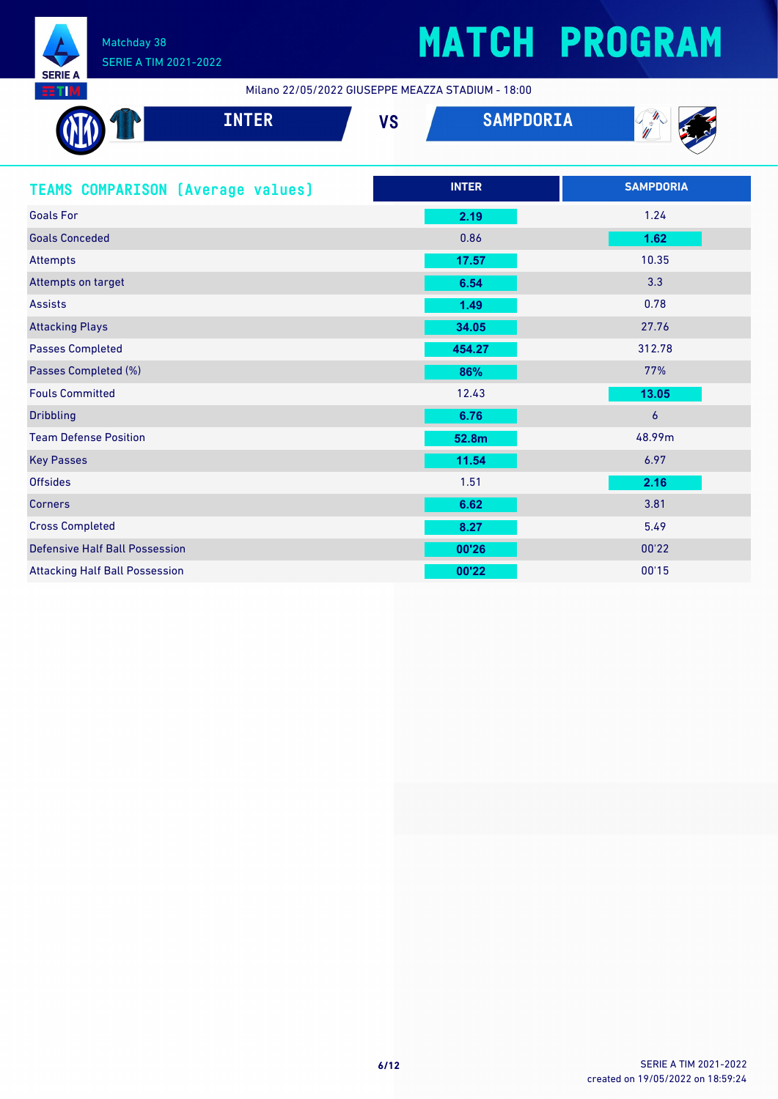

Milano 22/05/2022 GIUSEPPE MEAZZA STADIUM - 18:00

| <b>INTER</b>                             | <b>VS</b> | <b>SAMPDORIA</b> |                  |
|------------------------------------------|-----------|------------------|------------------|
| <b>TEAMS COMPARISON (Average values)</b> |           | <b>INTER</b>     | <b>SAMPDORIA</b> |
| <b>Goals For</b>                         |           | 2.19             | 1.24             |
| <b>Goals Conceded</b>                    |           | 0.86             | 1.62             |
| <b>Attempts</b>                          |           | 17.57            | 10.35            |
| Attempts on target                       |           | 6.54             | 3.3              |
| <b>Assists</b>                           |           | 1.49             | 0.78             |
| <b>Attacking Plays</b>                   |           | 34.05            | 27.76            |
| <b>Passes Completed</b>                  |           | 454.27           | 312.78           |
| Passes Completed (%)                     |           | 86%              | 77%              |
| <b>Fouls Committed</b>                   |           | 12.43            | 13.05            |
| <b>Dribbling</b>                         |           | 6.76             | $\overline{6}$   |
| <b>Team Defense Position</b>             |           | 52.8m            | 48.99m           |
| <b>Key Passes</b>                        |           | 11.54            | 6.97             |
| <b>Offsides</b>                          |           | 1.51             | 2.16             |
| <b>Corners</b>                           |           | 6.62             | 3.81             |
| <b>Cross Completed</b>                   |           | 8.27             | 5.49             |
| <b>Defensive Half Ball Possession</b>    |           | 00'26            | 00'22            |
| <b>Attacking Half Ball Possession</b>    |           | 00'22            | 00'15            |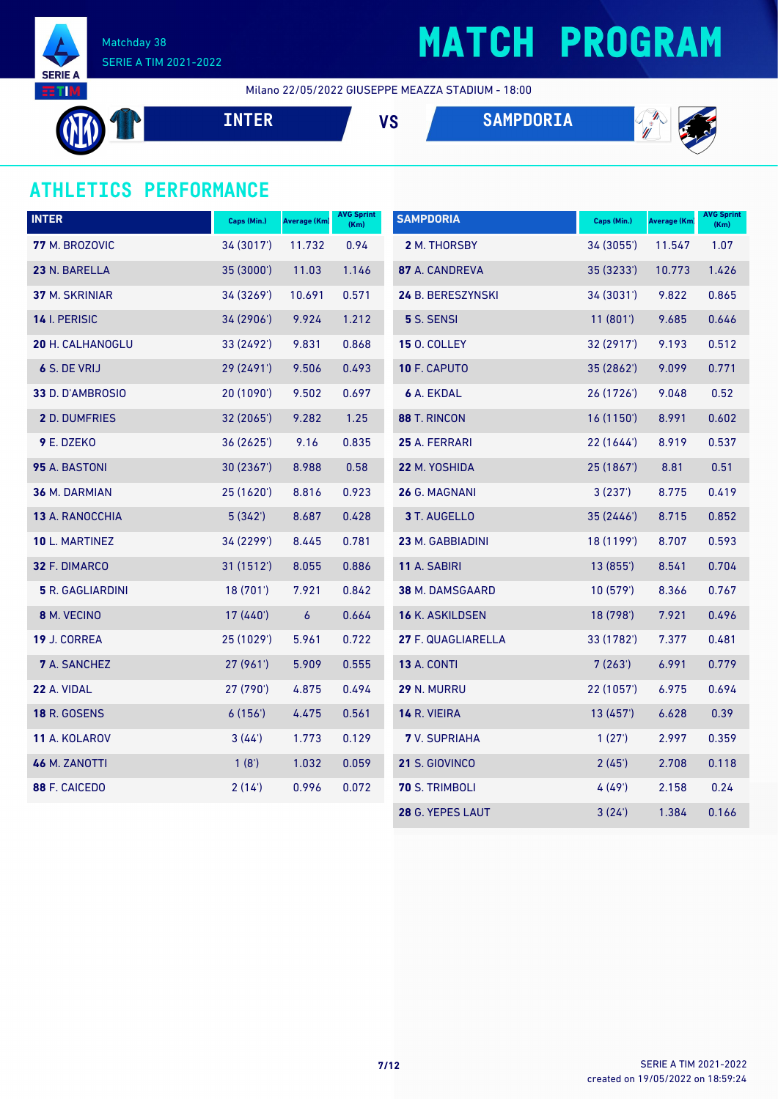

## **MATCH PROGRAM**

Milano 22/05/2022 GIUSEPPE MEAZZA STADIUM - 18:00

**INTER VS SAMPDORIA**



### **ATHLETICS PERFORMANCE**

| <b>INTER</b>            | Caps (Min.) | <b>Average (Km)</b> | <b>AVG Sprint</b><br>(Km) | <b>SAMPDORIA</b>       | Caps (Min.) | <b>Average (Km)</b> | <b>AVG Sprint</b><br>(Km) |
|-------------------------|-------------|---------------------|---------------------------|------------------------|-------------|---------------------|---------------------------|
| 77 M. BROZOVIC          | 34 (3017')  | 11.732              | 0.94                      | 2 M. THORSBY           | 34 (3055')  | 11.547              | 1.07                      |
| 23 N. BARELLA           | 35 (3000')  | 11.03               | 1.146                     | 87 A. CANDREVA         | 35 (3233')  | 10.773              | 1.426                     |
| <b>37 M. SKRINIAR</b>   | 34 (3269')  | 10.691              | 0.571                     | 24 B. BERESZYNSKI      | 34(3031)    | 9.822               | 0.865                     |
| 14 I. PERISIC           | 34 (2906')  | 9.924               | 1.212                     | 5 S. SENSI             | 11(801)     | 9.685               | 0.646                     |
| 20 H. CALHANOGLU        | 33 (2492')  | 9.831               | 0.868                     | <b>15 O. COLLEY</b>    | 32 (2917')  | 9.193               | 0.512                     |
| 6 S. DE VRIJ            | 29 (2491')  | 9.506               | 0.493                     | 10 F. CAPUTO           | 35 (2862')  | 9.099               | 0.771                     |
| 33 D. D'AMBROSIO        | 20 (1090')  | 9.502               | 0.697                     | 6 A. EKDAL             | 26 (1726')  | 9.048               | 0.52                      |
| 2 D. DUMFRIES           | 32 (2065')  | 9.282               | 1.25                      | 88 T. RINCON           | 16 (1150')  | 8.991               | 0.602                     |
| 9 E. DZEKO              | 36 (2625')  | 9.16                | 0.835                     | 25 A. FERRARI          | 22(1644)    | 8.919               | 0.537                     |
| 95 A. BASTONI           | 30 (2367')  | 8.988               | 0.58                      | 22 M. YOSHIDA          | 25 (1867')  | 8.81                | 0.51                      |
| <b>36 M. DARMIAN</b>    | 25 (1620')  | 8.816               | 0.923                     | 26 G. MAGNANI          | 3(237)      | 8.775               | 0.419                     |
| 13 A. RANOCCHIA         | 5(342)      | 8.687               | 0.428                     | 3 T. AUGELLO           | 35 (2446')  | 8.715               | 0.852                     |
| 10 L. MARTINEZ          | 34 (2299')  | 8.445               | 0.781                     | 23 M. GABBIADINI       | 18 (1199')  | 8.707               | 0.593                     |
| 32 F. DIMARCO           | 31 (1512')  | 8.055               | 0.886                     | 11 A. SABIRI           | 13(855)     | 8.541               | 0.704                     |
| <b>5</b> R. GAGLIARDINI | 18(701)     | 7.921               | 0.842                     | 38 M. DAMSGAARD        | 10(579)     | 8.366               | 0.767                     |
| 8 M. VECINO             | 17 (440')   | $\boldsymbol{6}$    | 0.664                     | <b>16 K. ASKILDSEN</b> | 18 (798')   | 7.921               | 0.496                     |
| 19 J. CORREA            | 25 (1029')  | 5.961               | 0.722                     | 27 F. QUAGLIARELLA     | 33 (1782')  | 7.377               | 0.481                     |
| <b>7</b> A. SANCHEZ     | 27(961)     | 5.909               | 0.555                     | <b>13 A. CONTI</b>     | 7(263)      | 6.991               | 0.779                     |
| 22 A. VIDAL             | 27 (790')   | 4.875               | 0.494                     | 29 N. MURRU            | 22(1057)    | 6.975               | 0.694                     |
| <b>18 R. GOSENS</b>     | 6(156)      | 4.475               | 0.561                     | 14 R. VIEIRA           | 13(457)     | 6.628               | 0.39                      |
| 11 A. KOLAROV           | 3(44')      | 1.773               | 0.129                     | <b>7</b> V. SUPRIAHA   | 1(27)       | 2.997               | 0.359                     |
| 46 M. ZANOTTI           | 1(8')       | 1.032               | 0.059                     | 21 S. GIOVINCO         | 2(45)       | 2.708               | 0.118                     |
| 88 F. CAICEDO           | 2(14)       | 0.996               | 0.072                     | <b>70 S. TRIMBOLI</b>  | 4(49)       | 2.158               | 0.24                      |
|                         |             |                     |                           | 28 G. YEPES LAUT       | 3(24)       | 1.384               | 0.166                     |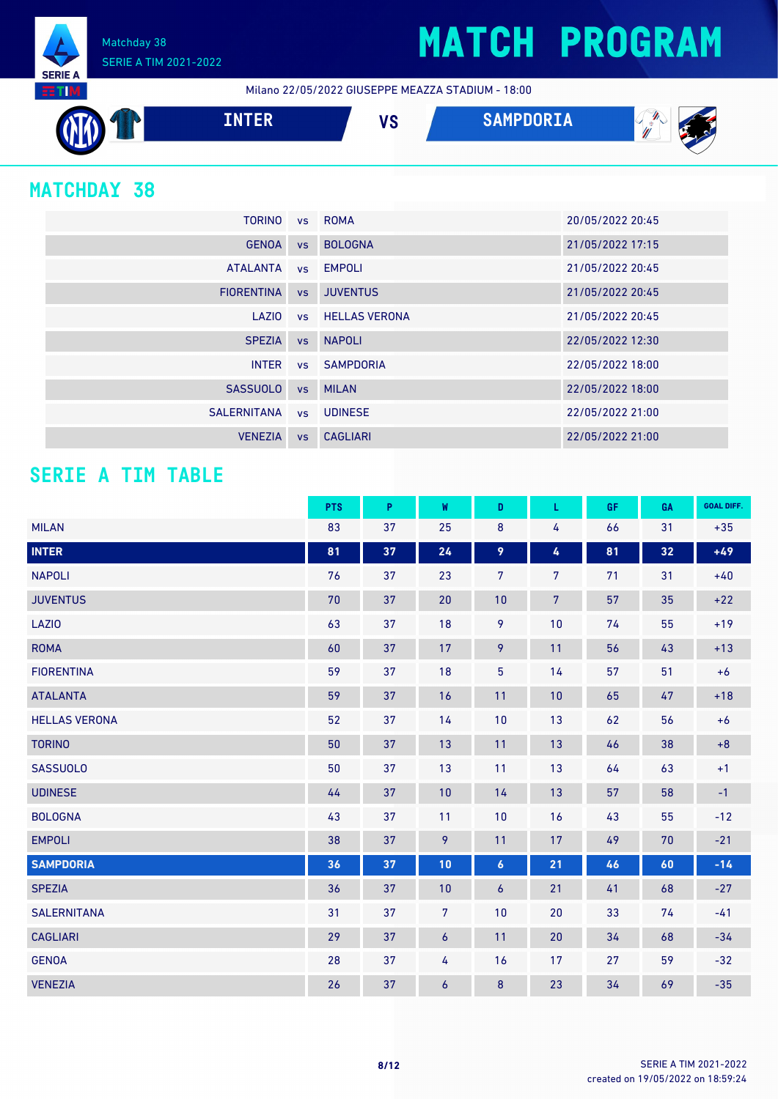Matchday 38 SERIE A TIM 2021-2022

Milano 22/05/2022 GIUSEPPE MEAZZA STADIUM - 18:00



### **MATCHDAY 38**

**SERIE A RETIM** 

| <b>TORINO</b>     |           | vs ROMA                 | 20/05/2022 20:45 |
|-------------------|-----------|-------------------------|------------------|
| <b>GENOA</b>      | <b>VS</b> | <b>BOLOGNA</b>          | 21/05/2022 17:15 |
| <b>ATALANTA</b>   |           | vs EMPOLI               | 21/05/2022 20:45 |
| <b>FIORENTINA</b> | VS        | <b>JUVENTUS</b>         | 21/05/2022 20:45 |
| LAZIO             |           | <b>vs</b> HELLAS VERONA | 21/05/2022 20:45 |
| <b>SPEZIA</b>     | VS        | <b>NAPOLI</b>           | 22/05/2022 12:30 |
| <b>INTER</b>      |           | vs SAMPDORIA            | 22/05/2022 18:00 |
| <b>SASSUOLO</b>   | <b>VS</b> | <b>MILAN</b>            | 22/05/2022 18:00 |
| SALERNITANA       |           | vs UDINESE              | 22/05/2022 21:00 |
| <b>VENEZIA</b>    | <b>VS</b> | <b>CAGLIARI</b>         | 22/05/2022 21:00 |

### **SERIE A TIM TABLE**

|                      | <b>PTS</b> | P  | W                | D                | L              | GF | GA | <b>GOAL DIFF.</b> |
|----------------------|------------|----|------------------|------------------|----------------|----|----|-------------------|
| <b>MILAN</b>         | 83         | 37 | 25               | 8                | 4              | 66 | 31 | $+35$             |
| <b>INTER</b>         | 81         | 37 | 24               | 9                | 4              | 81 | 32 | $+49$             |
| <b>NAPOLI</b>        | 76         | 37 | 23               | $\overline{7}$   | $\overline{7}$ | 71 | 31 | $+40$             |
| <b>JUVENTUS</b>      | 70         | 37 | 20               | 10               | $\overline{7}$ | 57 | 35 | $+22$             |
| LAZI0                | 63         | 37 | 18               | 9                | 10             | 74 | 55 | $+19$             |
| <b>ROMA</b>          | 60         | 37 | 17               | 9                | 11             | 56 | 43 | $+13$             |
| <b>FIORENTINA</b>    | 59         | 37 | 18               | $\overline{5}$   | 14             | 57 | 51 | $+6$              |
| <b>ATALANTA</b>      | 59         | 37 | 16               | 11               | 10             | 65 | 47 | $+18$             |
| <b>HELLAS VERONA</b> | 52         | 37 | 14               | $10$             | 13             | 62 | 56 | $+6$              |
| <b>TORINO</b>        | 50         | 37 | 13               | 11               | 13             | 46 | 38 | $+8$              |
| <b>SASSUOLO</b>      | 50         | 37 | 13               | 11               | 13             | 64 | 63 | $+1$              |
| <b>UDINESE</b>       | 44         | 37 | 10               | 14               | 13             | 57 | 58 | $-1$              |
| <b>BOLOGNA</b>       | 43         | 37 | 11               | $10$             | 16             | 43 | 55 | $-12$             |
| <b>EMPOLI</b>        | 38         | 37 | 9                | 11               | 17             | 49 | 70 | $-21$             |
| <b>SAMPDORIA</b>     | 36         | 37 | 10               | $\boldsymbol{6}$ | 21             | 46 | 60 | $-14$             |
| <b>SPEZIA</b>        | 36         | 37 | 10               | 6                | 21             | 41 | 68 | $-27$             |
| <b>SALERNITANA</b>   | 31         | 37 | $\overline{7}$   | 10               | 20             | 33 | 74 | $-41$             |
| <b>CAGLIARI</b>      | 29         | 37 | $\boldsymbol{6}$ | 11               | 20             | 34 | 68 | $-34$             |
| <b>GENOA</b>         | 28         | 37 | 4                | 16               | 17             | 27 | 59 | $-32$             |
| <b>VENEZIA</b>       | 26         | 37 | $\boldsymbol{6}$ | 8                | 23             | 34 | 69 | $-35$             |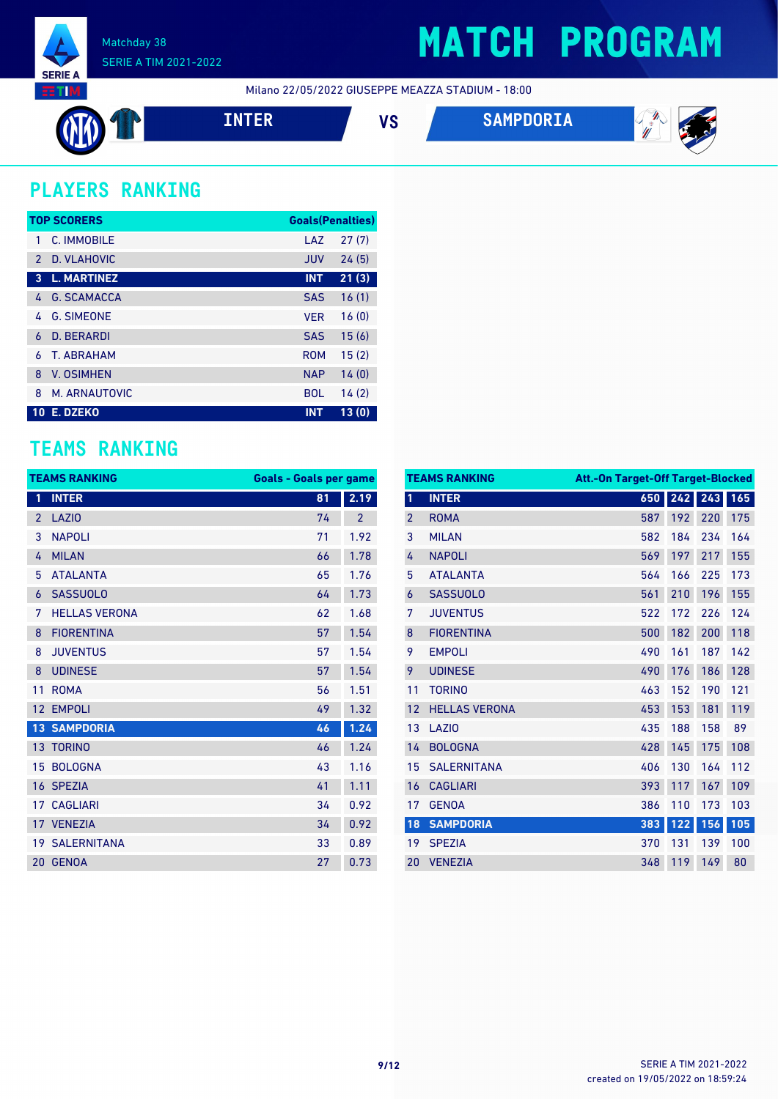

### **MATCH PROGRAM**

Milano 22/05/2022 GIUSEPPE MEAZZA STADIUM - 18:00



### **PLAYERS RANKING**

|               | <b>TOP SCORERS</b> | <b>Goals(Penalties)</b> |       |
|---------------|--------------------|-------------------------|-------|
|               | C. IMMOBILE        | LAZ                     | 27(7) |
| $\mathcal{P}$ | D. VLAHOVIC        | <b>JUV</b>              | 24(5) |
| 3             | <b>L. MARTINEZ</b> | <b>INT</b>              | 21(3) |
| 4             | <b>G. SCAMACCA</b> | <b>SAS</b>              | 16(1) |
| 4             | <b>G. SIMEONE</b>  | <b>VER</b>              | 16(0) |
| 6             | D. BERARDI         | <b>SAS</b>              | 15(6) |
| 6             | <b>T. ABRAHAM</b>  | <b>ROM</b>              | 15(2) |
| 8             | <b>V. OSIMHEN</b>  | <b>NAP</b>              | 14(0) |
| 8             | M. ARNAUTOVIC      | <b>BOL</b>              | 14(2) |
| <b>10</b>     | E. DZEKO           | <b>INT</b>              | 13(0) |

### **TEAMS RANKING**

| <b>TEAMS RANKING</b> |                       | <b>Goals - Goals per game</b> |                |
|----------------------|-----------------------|-------------------------------|----------------|
| 1                    | <b>INTER</b>          | 81                            | 2.19           |
| $\overline{2}$       | LAZI <sub>0</sub>     | 74                            | $\overline{2}$ |
| 3                    | <b>NAPOLI</b>         | 71                            | 1.92           |
| 4                    | <b>MILAN</b>          | 66                            | 1.78           |
| 5                    | <b>ATALANTA</b>       | 65                            | 1.76           |
| 6                    | <b>SASSUOLO</b>       | 64                            | 1.73           |
| 7                    | <b>HELLAS VERONA</b>  | 62                            | 1.68           |
| 8                    | <b>FIORENTINA</b>     | 57                            | 1.54           |
| 8                    | <b>JUVENTUS</b>       | 57                            | 1.54           |
| 8                    | <b>UDINESE</b>        | 57                            | 1.54           |
| 11                   | <b>ROMA</b>           | 56                            | 1.51           |
| 12                   | <b>EMPOLI</b>         | 49                            | 1.32           |
| 13                   | <b>SAMPDORIA</b>      | 46                            | 1.24           |
|                      | 13 TORINO             | 46                            | 1.24           |
| 15                   | <b>BOLOGNA</b>        | 43                            | 1.16           |
|                      | 16 SPEZIA             | 41                            | 1.11           |
| 17                   | <b>CAGLIARI</b>       | 34                            | 0.92           |
|                      | 17 VENEZIA            | 34                            | 0.92           |
|                      | <b>19 SALERNITANA</b> | 33                            | 0.89           |
| 20                   | <b>GENOA</b>          | 27                            | 0.73           |

|                | <b>TEAMS RANKING</b><br><b>Att.-On Target-Off Target-Blocked</b> |     |         |     |     |
|----------------|------------------------------------------------------------------|-----|---------|-----|-----|
| 1              | <b>INTER</b>                                                     |     | 650 242 | 243 | 165 |
| $\overline{2}$ | <b>ROMA</b>                                                      | 587 | 192     | 220 | 175 |
| 3              | <b>MILAN</b>                                                     | 582 | 184     | 234 | 164 |
| 4              | <b>NAPOLI</b>                                                    | 569 | 197     | 217 | 155 |
| 5              | <b>ATALANTA</b>                                                  | 564 | 166     | 225 | 173 |
| 6              | <b>SASSUOLO</b>                                                  | 561 | 210     | 196 | 155 |
| 7              | <b>JUVENTUS</b>                                                  | 522 | 172     | 226 | 124 |
| 8              | <b>FIORENTINA</b>                                                | 500 | 182     | 200 | 118 |
| 9              | <b>EMPOLI</b>                                                    | 490 | 161     | 187 | 142 |
| 9              | <b>UDINESE</b>                                                   | 490 | 176     | 186 | 128 |
| 11             | <b>TORINO</b>                                                    | 463 | 152     | 190 | 121 |
| 12             | <b>HELLAS VERONA</b>                                             | 453 | 153     | 181 | 119 |
| 13             | LAZI <sub>0</sub>                                                | 435 | 188     | 158 | 89  |
| 14             | <b>BOLOGNA</b>                                                   | 428 | 145     | 175 | 108 |
| 15             | <b>SALERNITANA</b>                                               | 406 | 130     | 164 | 112 |
| 16             | <b>CAGLIARI</b>                                                  | 393 | 117     | 167 | 109 |
| 17             | <b>GENOA</b>                                                     | 386 | 110     | 173 | 103 |
| 18             | <b>SAMPDORIA</b>                                                 | 383 | $122$   | 156 | 105 |
| 19             | <b>SPEZIA</b>                                                    | 370 | 131     | 139 | 100 |
| 20             | <b>VENEZIA</b>                                                   | 348 | 119     | 149 | 80  |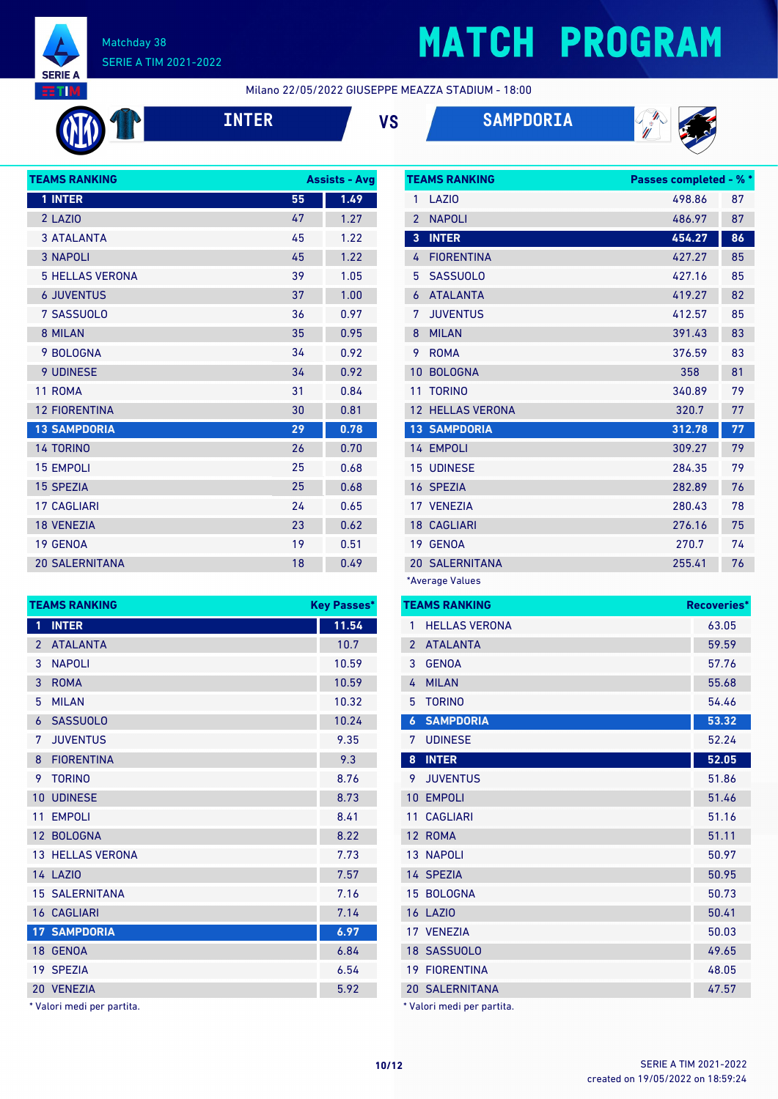

## **MATCH PROGRAM**

Milano 22/05/2022 GIUSEPPE MEAZZA STADIUM - 18:00







| <b>TEAMS RANKING</b>   |    | <b>Assists - Avg</b> |
|------------------------|----|----------------------|
| 1 INTER                | 55 | 1.49                 |
| 2 LAZIO                | 47 | 1.27                 |
| <b>3 ATALANTA</b>      | 45 | 1.22                 |
| <b>3 NAPOLI</b>        | 45 | 1.22                 |
| <b>5 HELLAS VERONA</b> | 39 | 1.05                 |
| <b>6 JUVENTUS</b>      | 37 | 1.00                 |
| 7 SASSUOLO             | 36 | 0.97                 |
| 8 MILAN                | 35 | 0.95                 |
| 9 BOLOGNA              | 34 | 0.92                 |
| 9 UDINESE              | 34 | 0.92                 |
| 11 ROMA                | 31 | 0.84                 |
| <b>12 FIORENTINA</b>   | 30 | 0.81                 |
| <b>13 SAMPDORIA</b>    | 29 | 0.78                 |
| <b>14 TORINO</b>       | 26 | 0.70                 |
| <b>15 EMPOLI</b>       | 25 | 0.68                 |
| <b>15 SPEZIA</b>       | 25 | 0.68                 |
| <b>17 CAGLIARI</b>     | 24 | 0.65                 |
| <b>18 VENEZIA</b>      | 23 | 0.62                 |
| 19 GENOA               | 19 | 0.51                 |
| <b>20 SALERNITANA</b>  | 18 | 0.49                 |

|                 | <b>TEAMS RANKING</b>  | <b>Passes completed - % *</b> |    |
|-----------------|-----------------------|-------------------------------|----|
| 1               | LAZI <sub>0</sub>     | 498.86                        | 87 |
| $\overline{2}$  | <b>NAPOLI</b>         | 486.97                        | 87 |
| $\overline{3}$  | <b>INTER</b>          | 454.27                        | 86 |
| 4               | <b>FIORENTINA</b>     | 427.27                        | 85 |
| 5               | <b>SASSUOLO</b>       | 427.16                        | 85 |
| 6               | <b>ATALANTA</b>       | 419.27                        | 82 |
| 7               | <b>JUVENTUS</b>       | 412.57                        | 85 |
| 8               | <b>MILAN</b>          | 391.43                        | 83 |
| 9               | <b>ROMA</b>           | 376.59                        | 83 |
| 10              | <b>BOLOGNA</b>        | 358                           | 81 |
| 11              | <b>TORINO</b>         | 340.89                        | 79 |
| 12 <sup>°</sup> | <b>HELLAS VERONA</b>  | 320.7                         | 77 |
|                 | <b>13 SAMPDORIA</b>   | 312.78                        | 77 |
|                 | 14 EMPOLI             | 309.27                        | 79 |
|                 | <b>15 UDINESE</b>     | 284.35                        | 79 |
|                 | 16 SPEZIA             | 282.89                        | 76 |
|                 | 17 VENEZIA            | 280.43                        | 78 |
|                 | <b>18 CAGLIARI</b>    | 276.16                        | 75 |
| 19              | <b>GENOA</b>          | 270.7                         | 74 |
|                 | <b>20 SALERNITANA</b> | 255.41                        | 76 |
|                 |                       |                               |    |

\*Average Values

|                | <b>TEAMS RANKING</b>       | <b>Recoveries*</b> |
|----------------|----------------------------|--------------------|
| 1              | <b>HELLAS VERONA</b>       | 63.05              |
| $\overline{2}$ | <b>ATALANTA</b>            | 59.59              |
| 3              | <b>GENOA</b>               | 57.76              |
| 4              | <b>MILAN</b>               | 55.68              |
| 5              | <b>TORINO</b>              | 54.46              |
| 6              | <b>SAMPDORIA</b>           | 53.32              |
| 7              | <b>UDINESE</b>             | 52.24              |
| 8              | <b>INTER</b>               | 52.05              |
| 9              | <b>JUVENTUS</b>            | 51.86              |
| 10             | <b>EMPOLI</b>              | 51.46              |
| 11             | <b>CAGLIARI</b>            | 51.16              |
| 12             | <b>ROMA</b>                | 51.11              |
|                | <b>13 NAPOLI</b>           | 50.97              |
|                | 14 SPEZIA                  | 50.95              |
|                | 15 BOLOGNA                 | 50.73              |
|                | <b>16 LAZIO</b>            | 50.41              |
|                | 17 VENEZIA                 | 50.03              |
|                | 18 SASSUOLO                | 49.65              |
|                | <b>19 FIORENTINA</b>       | 48.05              |
|                | <b>20 SALERNITANA</b>      | 47.57              |
|                | * Valori medi per partita. |                    |

| 1                        | <b>INTER</b>          | 11.54 |
|--------------------------|-----------------------|-------|
| $\overline{\phantom{a}}$ | <b>ATALANTA</b>       | 10.7  |
| 3                        | <b>NAPOLI</b>         | 10.59 |
| 3                        | <b>ROMA</b>           | 10.59 |
| 5                        | <b>MILAN</b>          | 10.32 |
| 6                        | <b>SASSUOLO</b>       | 10.24 |
| 7                        | <b>JUVENTUS</b>       | 9.35  |
| 8                        | <b>FIORENTINA</b>     | 9.3   |
| 9                        | <b>TORINO</b>         | 8.76  |
| 10                       | <b>UDINESE</b>        | 8.73  |
| 11                       | <b>EMPOLI</b>         | 8.41  |
|                          | 12 BOLOGNA            | 8.22  |
|                          | 13 HELLAS VERONA      | 7.73  |
|                          | 14 LAZIO              | 7.57  |
|                          | <b>15 SALERNITANA</b> | 7.16  |
|                          | <b>16 CAGLIARI</b>    | 7.14  |
|                          | <b>17 SAMPDORIA</b>   | 6.97  |
| 18                       | <b>GENOA</b>          | 6.84  |
|                          | 19 SPF7IA             | 6.54  |
| 20                       | <b>VENEZIA</b>        | 5.92  |
|                          |                       |       |

**TEAMS RANKING Key Passes\***

\* Valori medi per partita.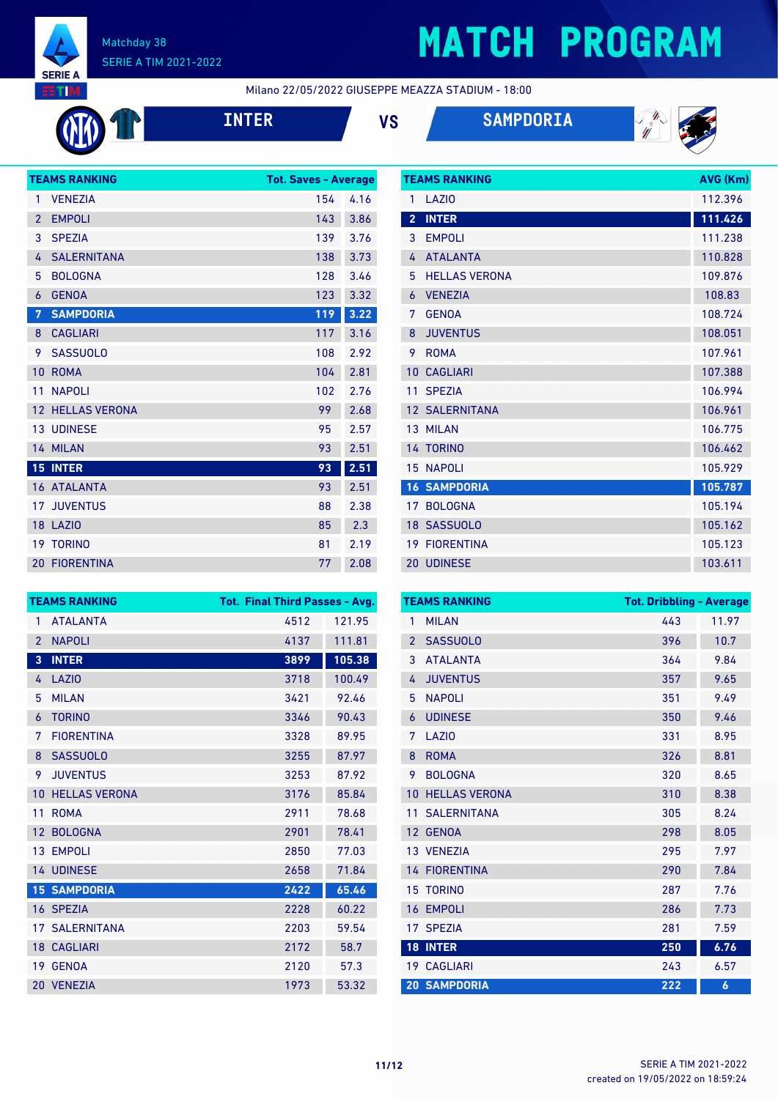

## **MATCH PROGRAM**

**TEAMS RANKING AVG (Km)** 

Milano 22/05/2022 GIUSEPPE MEAZZA STADIUM - 18:00

| <b>INTI</b> |
|-------------|
|             |

**INTER VS SAMPDORIA**



|                | <b>TEAMS RANKING</b>    | <b>Tot. Saves - Average</b> |      |
|----------------|-------------------------|-----------------------------|------|
| 1              | <b>VENEZIA</b>          | 154                         | 4.16 |
| $\overline{2}$ | <b>EMPOLI</b>           | 143                         | 3.86 |
| 3              | <b>SPEZIA</b>           | 139                         | 3.76 |
| 4              | <b>SALERNITANA</b>      | 138                         | 3.73 |
| 5              | <b>BOLOGNA</b>          | 128                         | 3.46 |
| 6              | <b>GENOA</b>            | 123                         | 3.32 |
| 7              | <b>SAMPDORIA</b>        | 119                         | 3.22 |
| 8              | <b>CAGLIARI</b>         | 117                         | 3.16 |
| 9              | <b>SASSUOLO</b>         | 108                         | 2.92 |
| 10             | <b>ROMA</b>             | 104                         | 2.81 |
| 11             | <b>NAPOLI</b>           | 102                         | 2.76 |
|                | <b>12 HELLAS VERONA</b> | 99                          | 2.68 |
|                | <b>13 UDINESE</b>       | 95                          | 2.57 |
|                | 14 MILAN                | 93                          | 2.51 |
|                | <b>15 INTER</b>         | 93                          | 2.51 |
|                | 16 ATALANTA             | 93                          | 2.51 |
|                | <b>17 JUVENTUS</b>      | 88                          | 2.38 |
|                | <b>18 LAZIO</b>         | 85                          | 2.3  |
|                | <b>19 TORINO</b>        | 81                          | 2.19 |
|                | <b>20 FIORENTINA</b>    | 77                          | 2.08 |

| 1              | LAZIO                 | 112.396 |
|----------------|-----------------------|---------|
| $\overline{2}$ | <b>INTER</b>          | 111.426 |
| 3              | <b>EMPOLI</b>         | 111.238 |
| 4              | <b>ATALANTA</b>       | 110.828 |
| 5              | <b>HELLAS VERONA</b>  | 109.876 |
| 6              | <b>VENEZIA</b>        | 108.83  |
| 7              | <b>GENOA</b>          | 108.724 |
| 8              | <b>JUVENTUS</b>       | 108.051 |
| 9              | <b>ROMA</b>           | 107.961 |
| 10             | <b>CAGLIARI</b>       | 107.388 |
| 11             | <b>SPEZIA</b>         | 106.994 |
|                | <b>12 SALERNITANA</b> | 106.961 |
|                | 13 MILAN              | 106.775 |
|                | 14 TORINO             | 106.462 |
|                | <b>15 NAPOLI</b>      | 105.929 |
|                | <b>16 SAMPDORIA</b>   | 105.787 |
|                | 17 BOLOGNA            | 105.194 |
|                | 18 SASSUOLO           | 105.162 |
| 19             | <b>FIORENTINA</b>     | 105.123 |
|                | 20 UDINESE            | 103.611 |

| <b>TEAMS RANKING</b>              | <b>Tot. Final Third Passes - Avg.</b> |        |
|-----------------------------------|---------------------------------------|--------|
| <b>ATALANTA</b><br>1              | 4512                                  | 121.95 |
| <b>NAPOLI</b><br>$\overline{2}$   | 4137                                  | 111.81 |
| <b>INTER</b><br>3                 | 3899                                  | 105.38 |
| <b>LAZIO</b><br>4                 | 3718                                  | 100.49 |
| <b>MILAN</b><br>5                 | 3421                                  | 92.46  |
| <b>TORINO</b><br>6                | 3346                                  | 90.43  |
| <b>FIORENTINA</b><br>7            | 3328                                  | 89.95  |
| <b>SASSUOLO</b><br>8              | 3255                                  | 87.97  |
| <b>JUVENTUS</b><br>9              | 3253                                  | 87.92  |
| <b>HELLAS VERONA</b><br>10        | 3176                                  | 85.84  |
| <b>ROMA</b><br>11                 | 2911                                  | 78.68  |
| <b>BOLOGNA</b><br>12 <sup>°</sup> | 2901                                  | 78.41  |
| 13 EMPOLI                         | 2850                                  | 77.03  |
| 14 UDINESE                        | 2658                                  | 71.84  |
| <b>15 SAMPDORIA</b>               | 2422                                  | 65.46  |
| 16 SPEZIA                         | 2228                                  | 60.22  |
| <b>17 SALERNITANA</b>             | 2203                                  | 59.54  |
| <b>18 CAGLIARI</b>                | 2172                                  | 58.7   |
| 19 GENOA                          | 2120                                  | 57.3   |
| 20 VENEZIA                        | 1973                                  | 53.32  |

|                 | <b>TEAMS RANKING</b> | <b>Tot. Dribbling - Average</b> |       |
|-----------------|----------------------|---------------------------------|-------|
| 1               | <b>MILAN</b>         | 443                             | 11.97 |
| $\overline{2}$  | <b>SASSUOLO</b>      | 396                             | 10.7  |
| 3               | <b>ATALANTA</b>      | 364                             | 9.84  |
| 4               | <b>JUVENTUS</b>      | 357                             | 9.65  |
| 5               | <b>NAPOLI</b>        | 351                             | 9.49  |
| 6               | <b>UDINESE</b>       | 350                             | 9.46  |
| 7               | LAZI <sub>0</sub>    | 331                             | 8.95  |
| 8               | <b>ROMA</b>          | 326                             | 8.81  |
| 9               | <b>BOLOGNA</b>       | 320                             | 8.65  |
| 10              | <b>HELLAS VERONA</b> | 310                             | 8.38  |
| 11              | <b>SALERNITANA</b>   | 305                             | 8.24  |
| 12              | <b>GENOA</b>         | 298                             | 8.05  |
|                 | 13 VENEZIA           | 295                             | 7.97  |
|                 | <b>14 FIORENTINA</b> | 290                             | 7.84  |
| 15              | <b>TORINO</b>        | 287                             | 7.76  |
| 16              | <b>EMPOLI</b>        | 286                             | 7.73  |
| 17              | <b>SPEZIA</b>        | 281                             | 7.59  |
| 18 <sup>°</sup> | <b>INTER</b>         | 250                             | 6.76  |
|                 | 19 CAGLIARI          | 243                             | 6.57  |
|                 | <b>20 SAMPDORIA</b>  | 222                             | 6     |